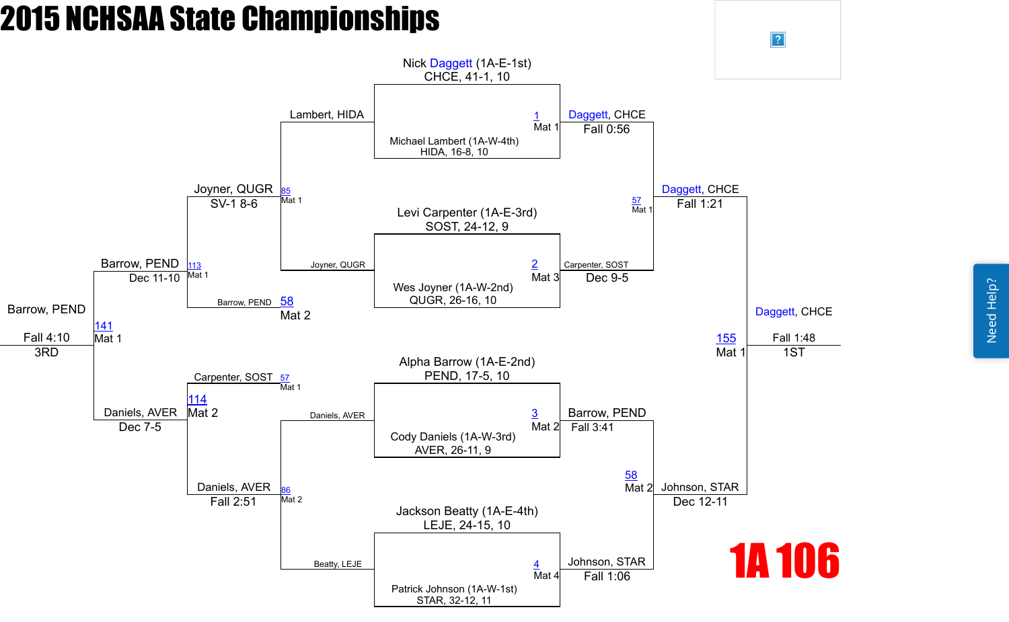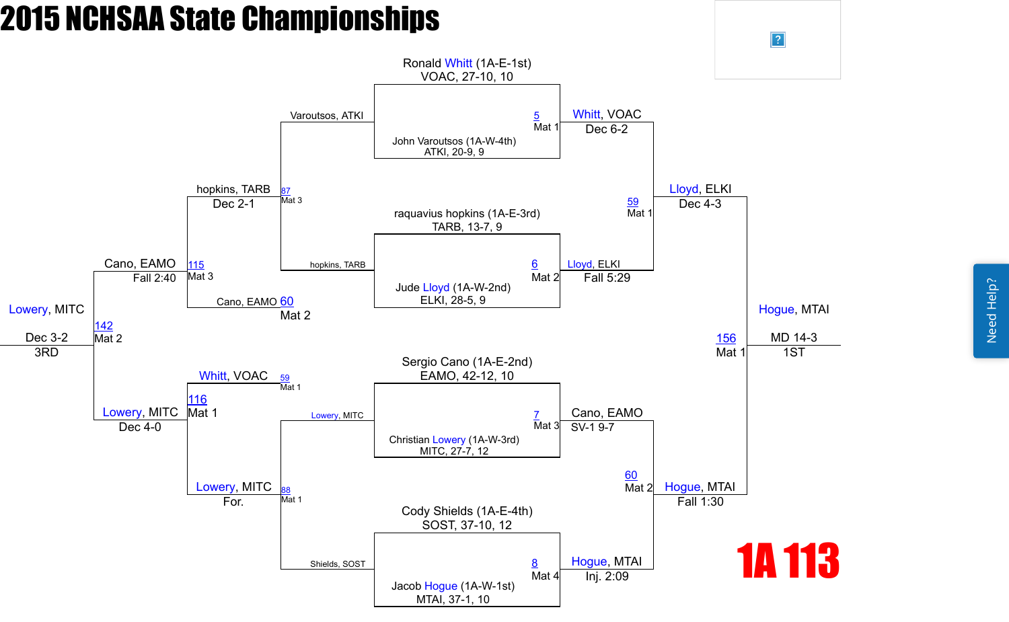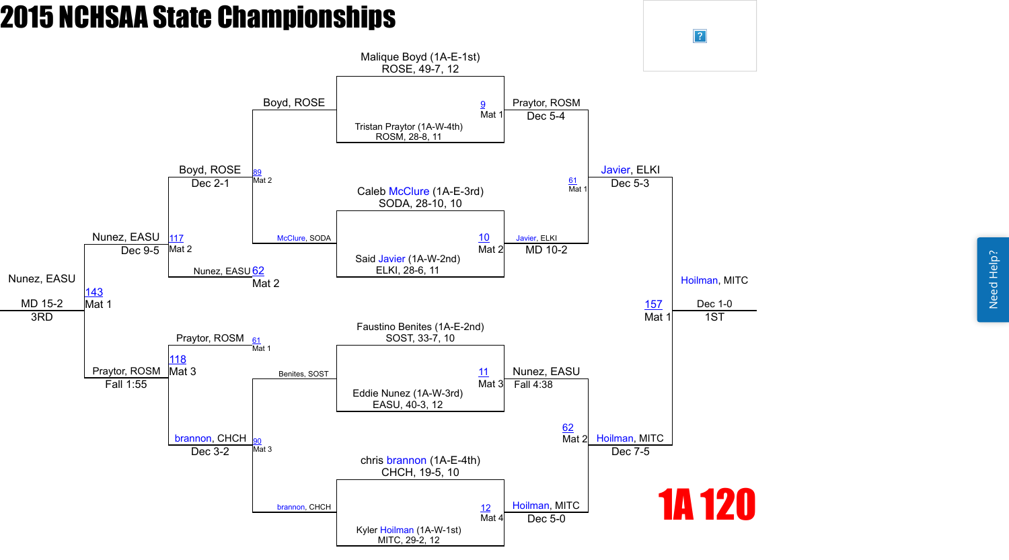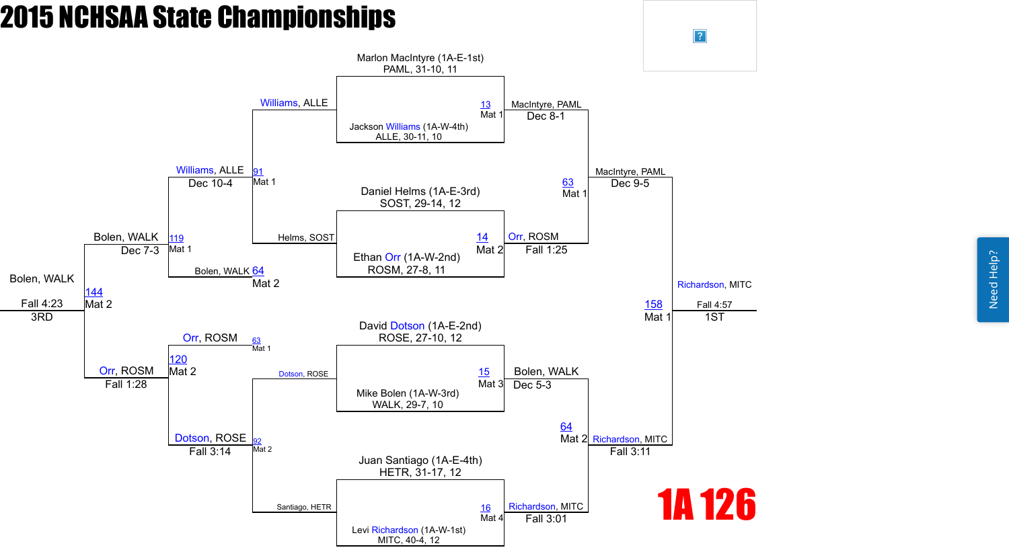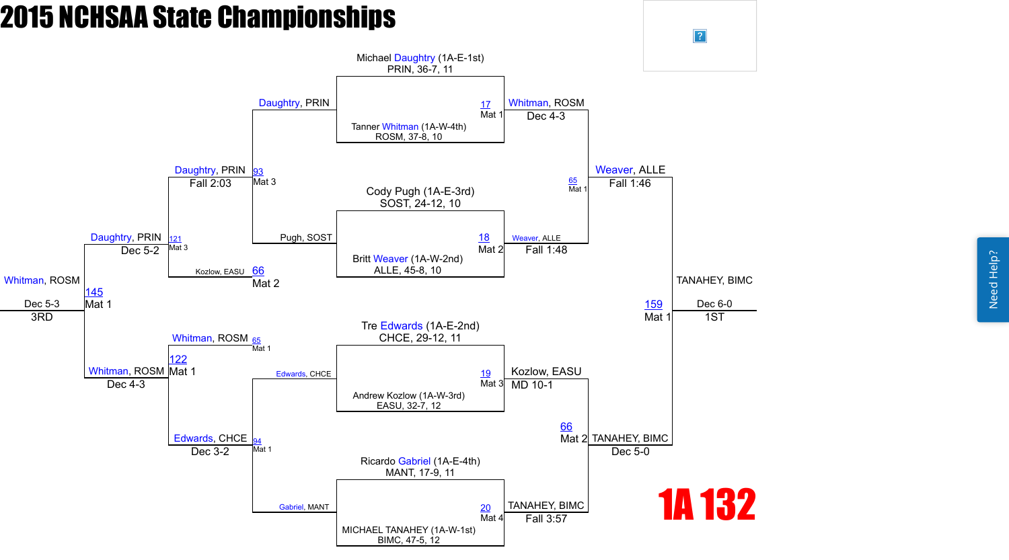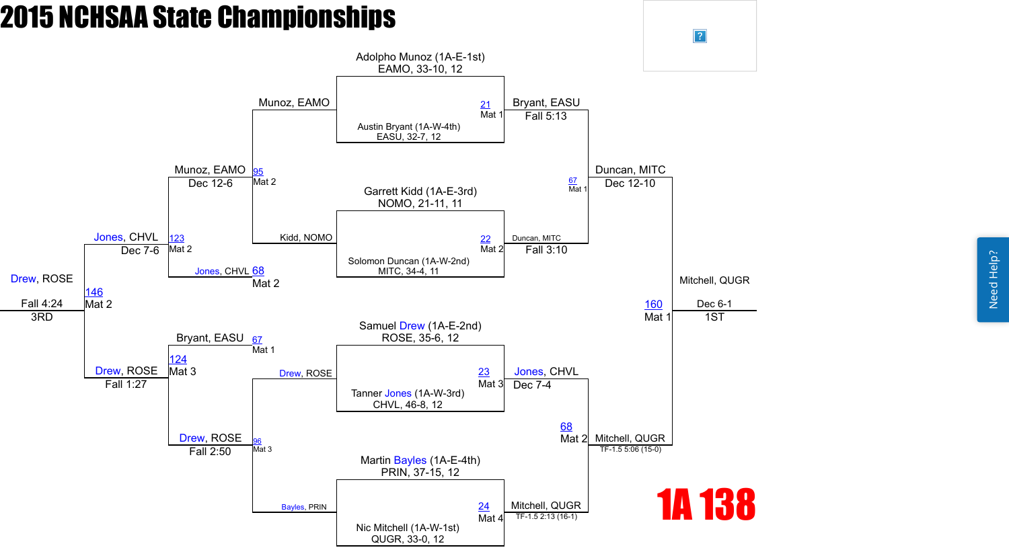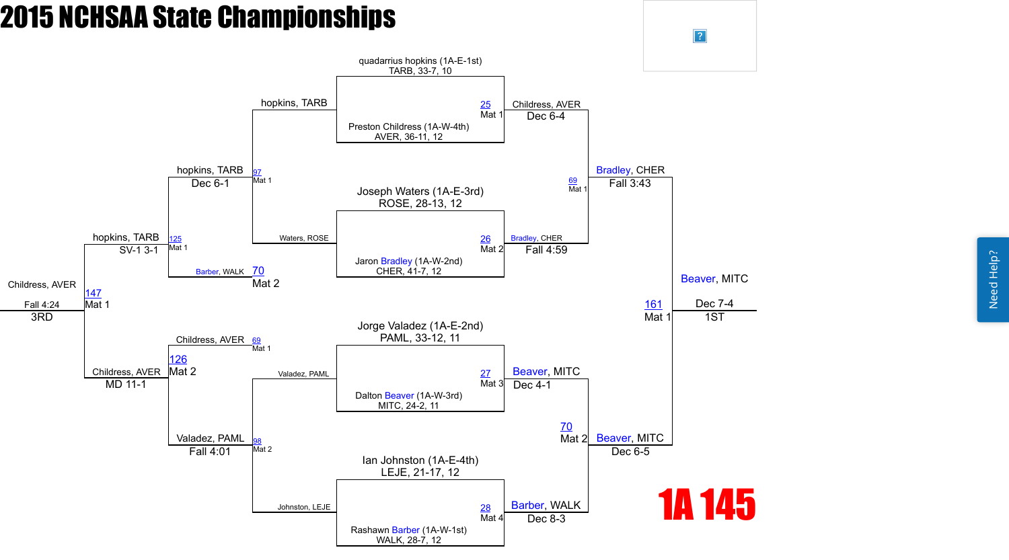Need Help? Need Help?

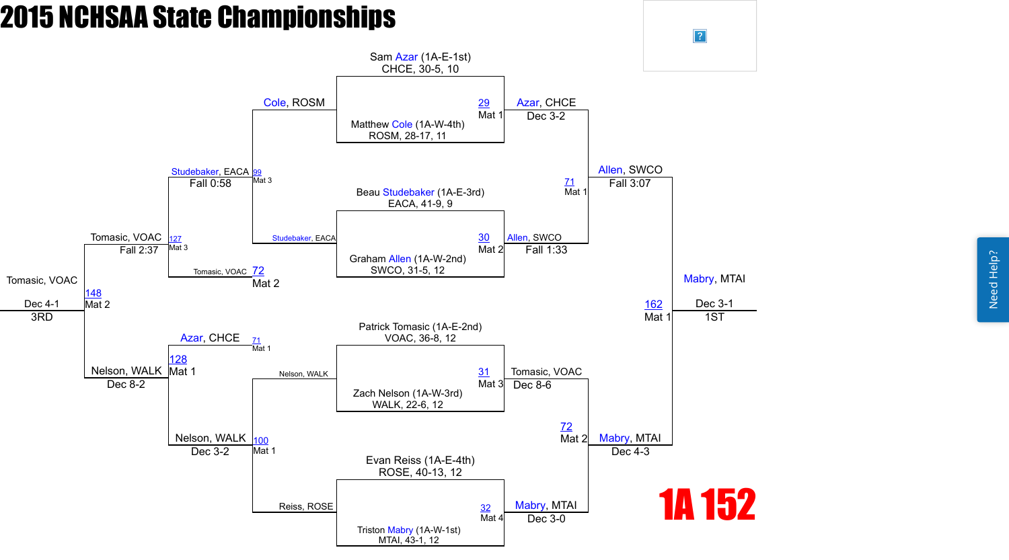Need Help? Need Help?

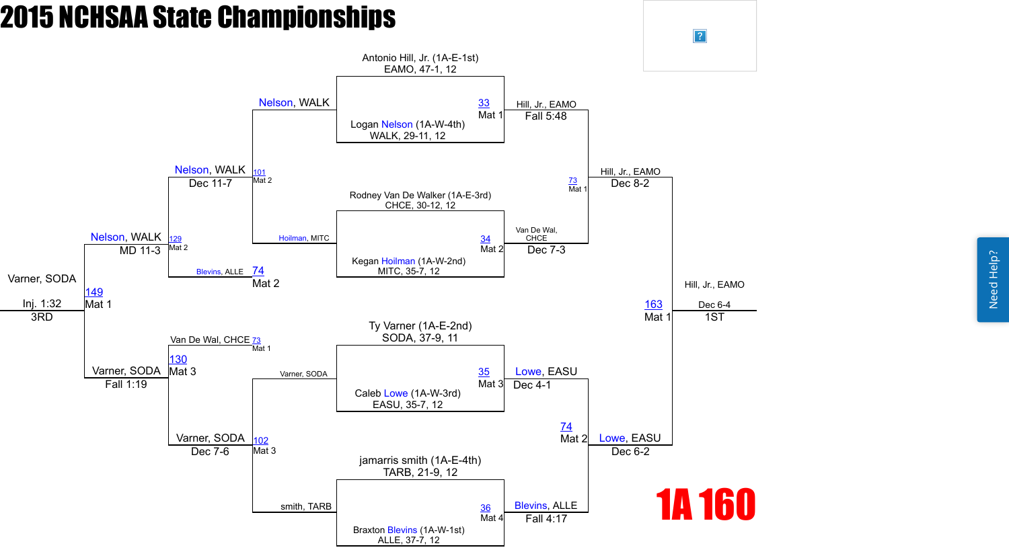Need Help? Need Help?

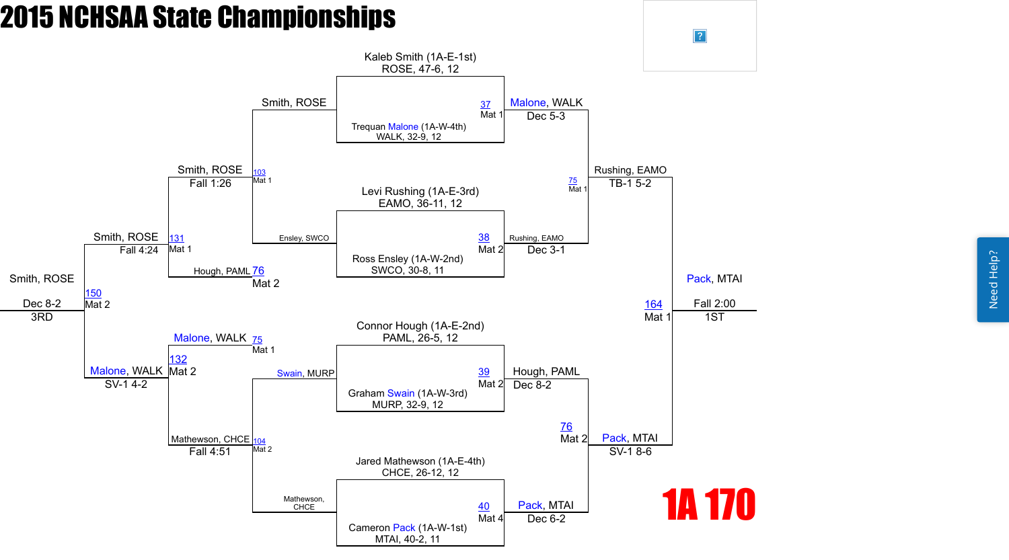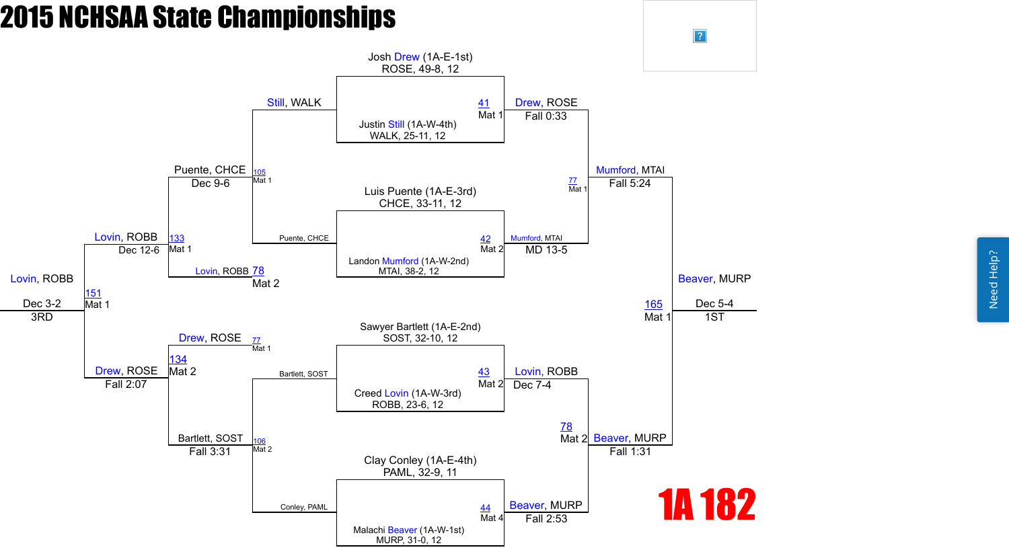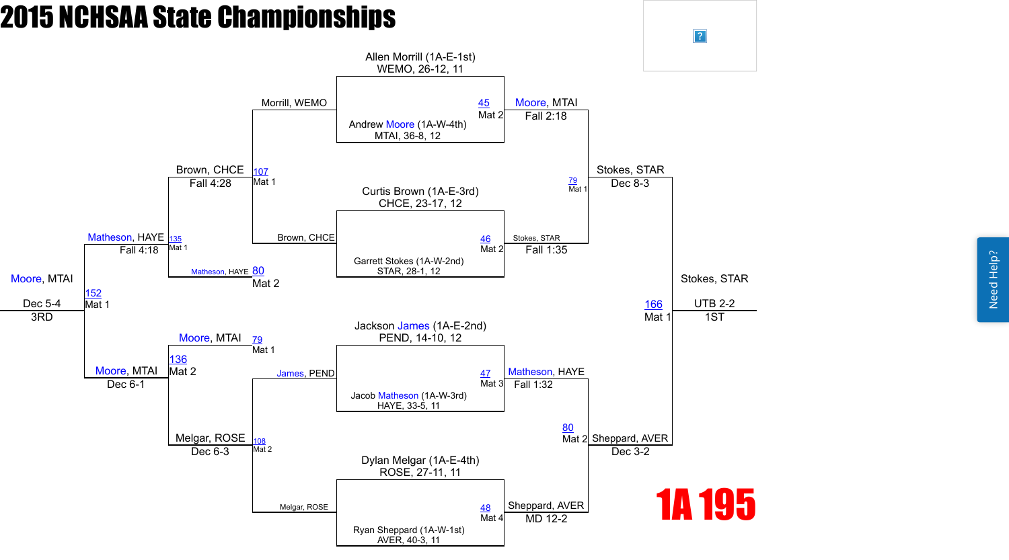Need Help? Need Help?

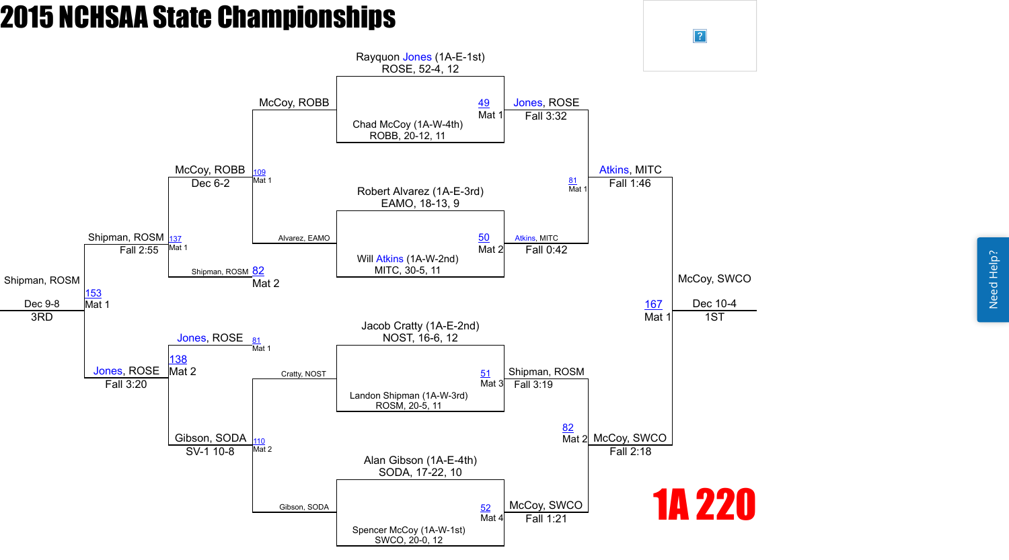